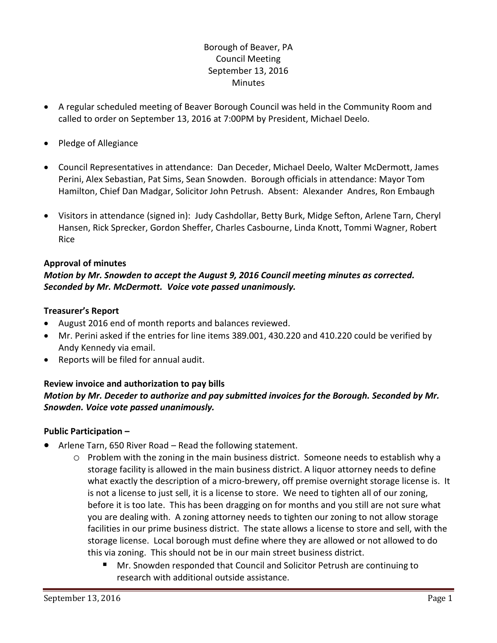## Borough of Beaver, PA Council Meeting September 13, 2016 **Minutes**

- A regular scheduled meeting of Beaver Borough Council was held in the Community Room and called to order on September 13, 2016 at 7:00PM by President, Michael Deelo.
- Pledge of Allegiance
- Council Representatives in attendance: Dan Deceder, Michael Deelo, Walter McDermott, James Perini, Alex Sebastian, Pat Sims, Sean Snowden. Borough officials in attendance: Mayor Tom Hamilton, Chief Dan Madgar, Solicitor John Petrush. Absent: Alexander Andres, Ron Embaugh
- Visitors in attendance (signed in): Judy Cashdollar, Betty Burk, Midge Sefton, Arlene Tarn, Cheryl Hansen, Rick Sprecker, Gordon Sheffer, Charles Casbourne, Linda Knott, Tommi Wagner, Robert Rice

### **Approval of minutes**

## *Motion by Mr. Snowden to accept the August 9, 2016 Council meeting minutes as corrected. Seconded by Mr. McDermott. Voice vote passed unanimously.*

#### **Treasurer's Report**

- August 2016 end of month reports and balances reviewed.
- Mr. Perini asked if the entries for line items 389.001, 430.220 and 410.220 could be verified by Andy Kennedy via email.
- Reports will be filed for annual audit.

## **Review invoice and authorization to pay bills** *Motion by Mr. Deceder to authorize and pay submitted invoices for the Borough. Seconded by Mr. Snowden. Voice vote passed unanimously.*

#### **Public Participation –**

- Arlene Tarn, 650 River Road Read the following statement.
	- o Problem with the zoning in the main business district. Someone needs to establish why a storage facility is allowed in the main business district. A liquor attorney needs to define what exactly the description of a micro-brewery, off premise overnight storage license is. It is not a license to just sell, it is a license to store. We need to tighten all of our zoning, before it is too late. This has been dragging on for months and you still are not sure what you are dealing with. A zoning attorney needs to tighten our zoning to not allow storage facilities in our prime business district. The state allows a license to store and sell, with the storage license. Local borough must define where they are allowed or not allowed to do this via zoning. This should not be in our main street business district.
		- Mr. Snowden responded that Council and Solicitor Petrush are continuing to research with additional outside assistance.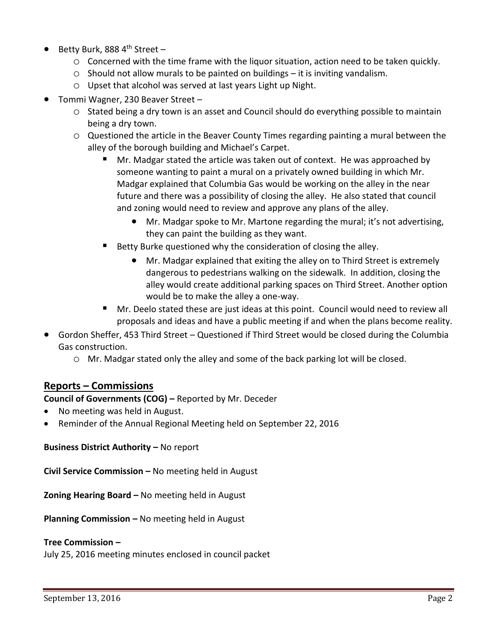- Betty Burk, 888 4<sup>th</sup> Street
	- o Concerned with the time frame with the liquor situation, action need to be taken quickly.
	- $\circ$  Should not allow murals to be painted on buildings it is inviting vandalism.
	- o Upset that alcohol was served at last years Light up Night.
- Tommi Wagner, 230 Beaver Street
	- o Stated being a dry town is an asset and Council should do everything possible to maintain being a dry town.
	- o Questioned the article in the Beaver County Times regarding painting a mural between the alley of the borough building and Michael's Carpet.
		- Mr. Madgar stated the article was taken out of context. He was approached by someone wanting to paint a mural on a privately owned building in which Mr. Madgar explained that Columbia Gas would be working on the alley in the near future and there was a possibility of closing the alley. He also stated that council and zoning would need to review and approve any plans of the alley.
			- Mr. Madgar spoke to Mr. Martone regarding the mural; it's not advertising, they can paint the building as they want.
		- Betty Burke questioned why the consideration of closing the alley.
			- Mr. Madgar explained that exiting the alley on to Third Street is extremely dangerous to pedestrians walking on the sidewalk. In addition, closing the alley would create additional parking spaces on Third Street. Another option would be to make the alley a one-way.
		- Mr. Deelo stated these are just ideas at this point. Council would need to review all proposals and ideas and have a public meeting if and when the plans become reality.
- Gordon Sheffer, 453 Third Street Questioned if Third Street would be closed during the Columbia Gas construction.
	- o Mr. Madgar stated only the alley and some of the back parking lot will be closed.

## **Reports – Commissions**

**Council of Governments (COG) –** Reported by Mr. Deceder

- No meeting was held in August.
- Reminder of the Annual Regional Meeting held on September 22, 2016

**Business District Authority – No report** 

**Civil Service Commission –** No meeting held in August

**Zoning Hearing Board –** No meeting held in August

**Planning Commission –** No meeting held in August

#### **Tree Commission –**

July 25, 2016 meeting minutes enclosed in council packet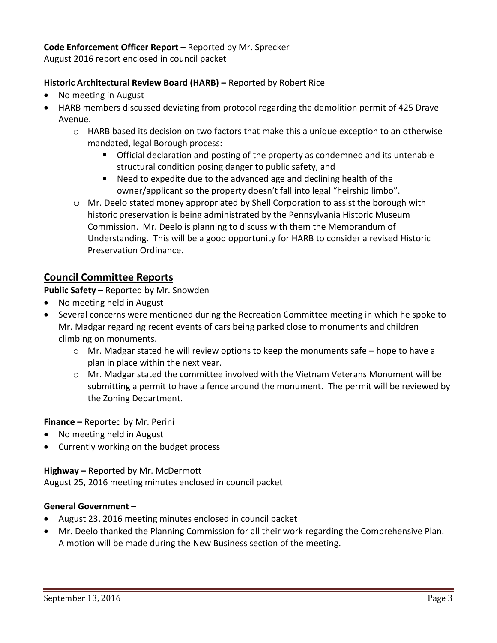## **Code Enforcement Officer Report –** Reported by Mr. Sprecker

August 2016 report enclosed in council packet

## **Historic Architectural Review Board (HARB) –** Reported by Robert Rice

- No meeting in August
- HARB members discussed deviating from protocol regarding the demolition permit of 425 Drave Avenue.
	- $\circ$  HARB based its decision on two factors that make this a unique exception to an otherwise mandated, legal Borough process:
		- Official declaration and posting of the property as condemned and its untenable structural condition posing danger to public safety, and
		- Need to expedite due to the advanced age and declining health of the owner/applicant so the property doesn't fall into legal "heirship limbo".
	- o Mr. Deelo stated money appropriated by Shell Corporation to assist the borough with historic preservation is being administrated by the Pennsylvania Historic Museum Commission. Mr. Deelo is planning to discuss with them the Memorandum of Understanding. This will be a good opportunity for HARB to consider a revised Historic Preservation Ordinance.

# **Council Committee Reports**

**Public Safety –** Reported by Mr. Snowden

- No meeting held in August
- Several concerns were mentioned during the Recreation Committee meeting in which he spoke to Mr. Madgar regarding recent events of cars being parked close to monuments and children climbing on monuments.
	- $\circ$  Mr. Madgar stated he will review options to keep the monuments safe hope to have a plan in place within the next year.
	- o Mr. Madgar stated the committee involved with the Vietnam Veterans Monument will be submitting a permit to have a fence around the monument. The permit will be reviewed by the Zoning Department.

**Finance –** Reported by Mr. Perini

- No meeting held in August
- Currently working on the budget process

## **Highway –** Reported by Mr. McDermott

August 25, 2016 meeting minutes enclosed in council packet

## **General Government –**

- August 23, 2016 meeting minutes enclosed in council packet
- Mr. Deelo thanked the Planning Commission for all their work regarding the Comprehensive Plan. A motion will be made during the New Business section of the meeting.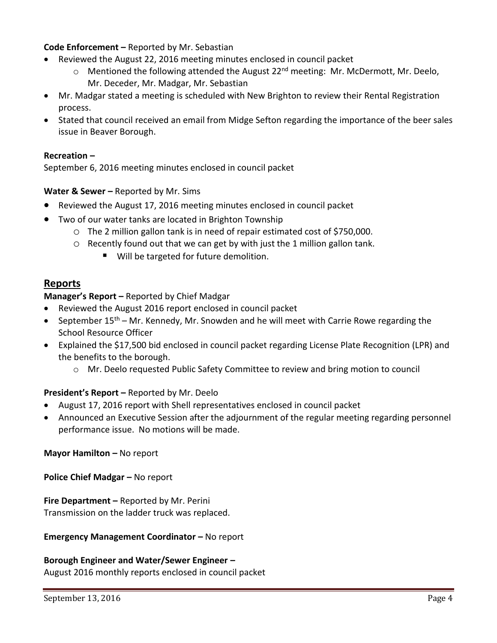## **Code Enforcement –** Reported by Mr. Sebastian

- Reviewed the August 22, 2016 meeting minutes enclosed in council packet
	- $\circ$  Mentioned the following attended the August 22<sup>nd</sup> meeting: Mr. McDermott, Mr. Deelo, Mr. Deceder, Mr. Madgar, Mr. Sebastian
- Mr. Madgar stated a meeting is scheduled with New Brighton to review their Rental Registration process.
- Stated that council received an email from Midge Sefton regarding the importance of the beer sales issue in Beaver Borough.

### **Recreation –**

September 6, 2016 meeting minutes enclosed in council packet

### **Water & Sewer -** Reported by Mr. Sims

- Reviewed the August 17, 2016 meeting minutes enclosed in council packet
- Two of our water tanks are located in Brighton Township
	- o The 2 million gallon tank is in need of repair estimated cost of \$750,000.
	- o Recently found out that we can get by with just the 1 million gallon tank.
		- Will be targeted for future demolition.

## **Reports**

### **Manager's Report –** Reported by Chief Madgar

- Reviewed the August 2016 report enclosed in council packet
- September  $15<sup>th</sup>$  Mr. Kennedy, Mr. Snowden and he will meet with Carrie Rowe regarding the School Resource Officer
- Explained the \$17,500 bid enclosed in council packet regarding License Plate Recognition (LPR) and the benefits to the borough.
	- o Mr. Deelo requested Public Safety Committee to review and bring motion to council

## **President's Report –** Reported by Mr. Deelo

- August 17, 2016 report with Shell representatives enclosed in council packet
- Announced an Executive Session after the adjournment of the regular meeting regarding personnel performance issue. No motions will be made.

#### **Mayor Hamilton –** No report

**Police Chief Madgar – No report** 

## **Fire Department –** Reported by Mr. Perini Transmission on the ladder truck was replaced.

#### **Emergency Management Coordinator - No report**

## **Borough Engineer and Water/Sewer Engineer –**

August 2016 monthly reports enclosed in council packet